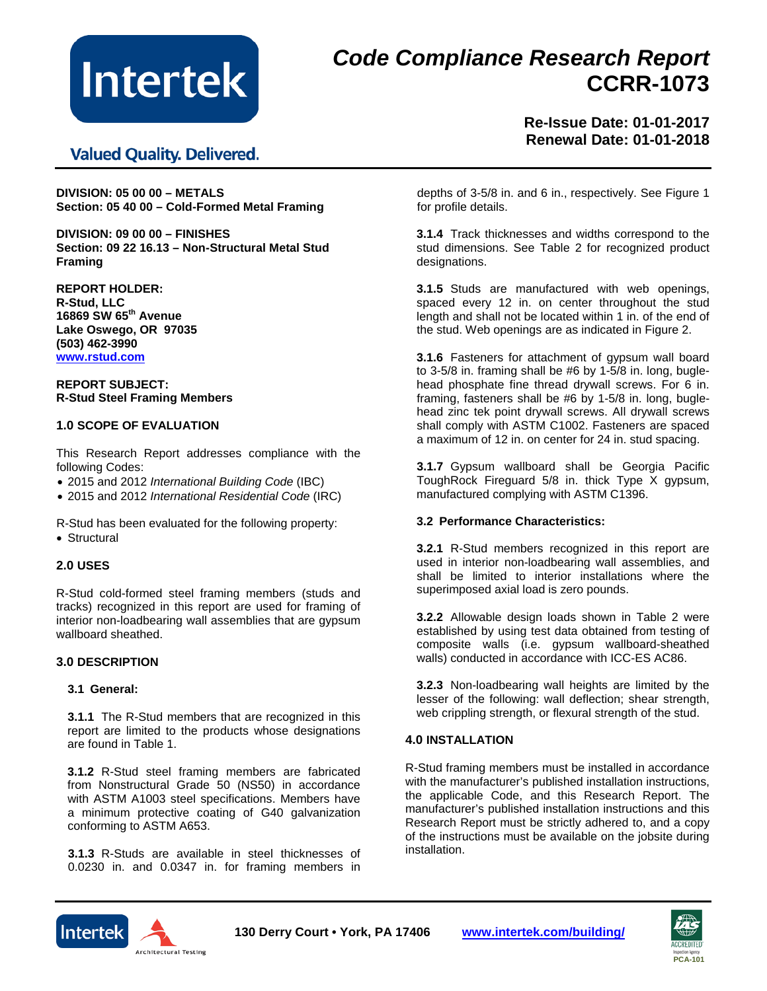

# *Code Compliance Research Report* **CCRR-1073**

**Valued Quality. Delivered.** 

**Re-Issue Date: 01-01-2017 Renewal Date: 01-01-2018**

**DIVISION: 05 00 00 – METALS Section: 05 40 00 – Cold-Formed Metal Framing**

**DIVISION: 09 00 00 – FINISHES Section: 09 22 16.13 – Non-Structural Metal Stud Framing**

**REPORT HOLDER: R-Stud, LLC 16869 SW 65th Avenue Lake Oswego, OR 97035 (503) 462-3990 [www.rstud.com](http://www.rstud.com/)**

**REPORT SUBJECT: R-Stud Steel Framing Members**

## **1.0 SCOPE OF EVALUATION**

This Research Report addresses compliance with the following Codes:

- 2015 and 2012 *International Building Code* (IBC)
- 2015 and 2012 *International Residential Code* (IRC)

R-Stud has been evaluated for the following property:

• Structural

## **2.0 USES**

R-Stud cold-formed steel framing members (studs and tracks) recognized in this report are used for framing of interior non-loadbearing wall assemblies that are gypsum wallboard sheathed.

## **3.0 DESCRIPTION**

#### **3.1 General:**

**3.1.1** The R-Stud members that are recognized in this report are limited to the products whose designations are found in Table 1.

**3.1.2** R-Stud steel framing members are fabricated from Nonstructural Grade 50 (NS50) in accordance with ASTM A1003 steel specifications. Members have a minimum protective coating of G40 galvanization conforming to ASTM A653.

**3.1.3** R-Studs are available in steel thicknesses of 0.0230 in. and 0.0347 in. for framing members in depths of 3-5/8 in. and 6 in., respectively. See Figure 1 for profile details.

**3.1.4** Track thicknesses and widths correspond to the stud dimensions. See Table 2 for recognized product designations.

**3.1.5** Studs are manufactured with web openings, spaced every 12 in. on center throughout the stud length and shall not be located within 1 in. of the end of the stud. Web openings are as indicated in Figure 2.

**3.1.6** Fasteners for attachment of gypsum wall board to 3-5/8 in. framing shall be #6 by 1-5/8 in. long, buglehead phosphate fine thread drywall screws. For 6 in. framing, fasteners shall be #6 by 1-5/8 in. long, buglehead zinc tek point drywall screws. All drywall screws shall comply with ASTM C1002. Fasteners are spaced a maximum of 12 in. on center for 24 in. stud spacing.

**3.1.7** Gypsum wallboard shall be Georgia Pacific ToughRock Fireguard 5/8 in. thick Type X gypsum, manufactured complying with ASTM C1396.

## **3.2 Performance Characteristics:**

**3.2.1** R-Stud members recognized in this report are used in interior non-loadbearing wall assemblies, and shall be limited to interior installations where the superimposed axial load is zero pounds.

**3.2.2** Allowable design loads shown in Table 2 were established by using test data obtained from testing of composite walls (i.e. gypsum wallboard-sheathed walls) conducted in accordance with ICC-ES AC86.

**3.2.3** Non-loadbearing wall heights are limited by the lesser of the following: wall deflection; shear strength, web crippling strength, or flexural strength of the stud.

## **4.0 INSTALLATION**

R-Stud framing members must be installed in accordance with the manufacturer's published installation instructions, the applicable Code, and this Research Report. The manufacturer's published installation instructions and this Research Report must be strictly adhered to, and a copy of the instructions must be available on the jobsite during installation.





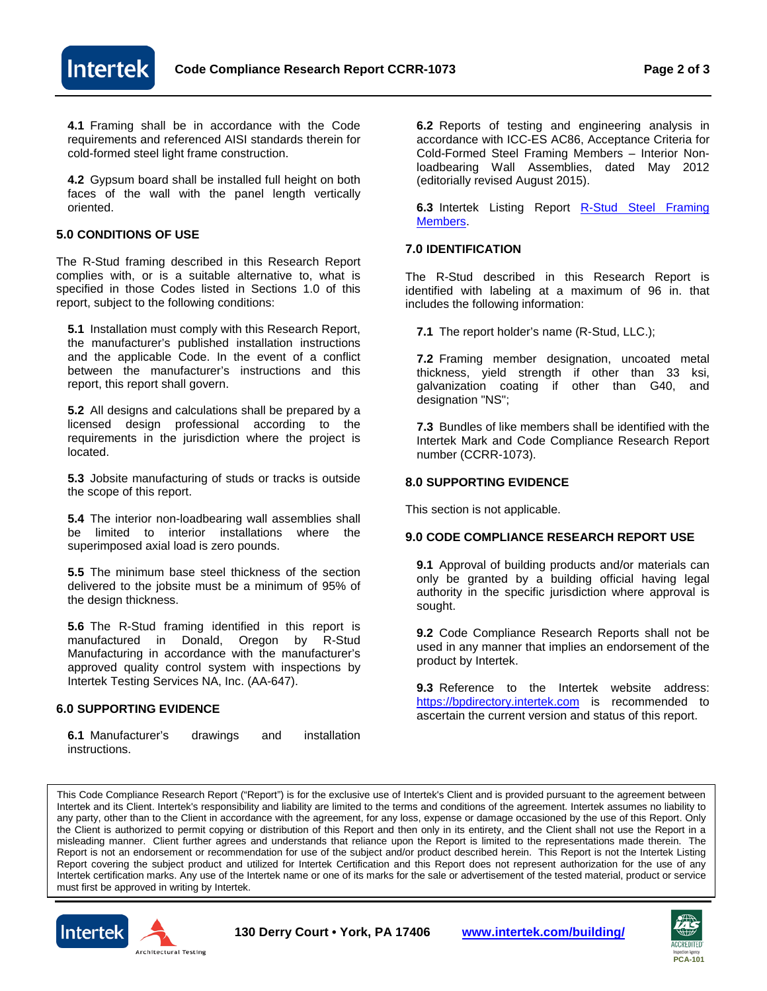

**4.1** Framing shall be in accordance with the Code requirements and referenced AISI standards therein for cold-formed steel light frame construction.

**4.2** Gypsum board shall be installed full height on both faces of the wall with the panel length vertically oriented.

## **5.0 CONDITIONS OF USE**

The R-Stud framing described in this Research Report complies with, or is a suitable alternative to, what is specified in those Codes listed in Sections 1.0 of this report, subject to the following conditions:

**5.1** Installation must comply with this Research Report, the manufacturer's published installation instructions and the applicable Code. In the event of a conflict between the manufacturer's instructions and this report, this report shall govern.

**5.2** All designs and calculations shall be prepared by a licensed design professional according to the requirements in the jurisdiction where the project is located.

**5.3** Jobsite manufacturing of studs or tracks is outside the scope of this report.

**5.4** The interior non-loadbearing wall assemblies shall be limited to interior installations where the superimposed axial load is zero pounds.

**5.5** The minimum base steel thickness of the section delivered to the jobsite must be a minimum of 95% of the design thickness.

**5.6** The R-Stud framing identified in this report is manufactured in Donald, Oregon by R-Stud Manufacturing in accordance with the manufacturer's approved quality control system with inspections by Intertek Testing Services NA, Inc. (AA-647).

#### **6.0 SUPPORTING EVIDENCE**

**6.1** Manufacturer's drawings and installation instructions.

**6.2** Reports of testing and engineering analysis in accordance with ICC-ES AC86, Acceptance Criteria for Cold-Formed Steel Framing Members – Interior Nonloadbearing Wall Assemblies, dated May 2012 (editorially revised August 2015).

**6.3** Intertek Listing Report [R-Stud Steel Framing](https://bpdirectory.intertek.com/pages/DLP_SearchDetail.aspx?SpecID=38835)  [Members.](https://bpdirectory.intertek.com/pages/DLP_SearchDetail.aspx?SpecID=38835)

## **7.0 IDENTIFICATION**

The R-Stud described in this Research Report is identified with labeling at a maximum of 96 in. that includes the following information:

**7.1** The report holder's name (R-Stud, LLC.);

**7.2** Framing member designation, uncoated metal thickness, yield strength if other than 33 ksi, galvanization coating if other than G40, and designation "NS";

**7.3** Bundles of like members shall be identified with the Intertek Mark and Code Compliance Research Report number (CCRR-1073).

## **8.0 SUPPORTING EVIDENCE**

This section is not applicable.

## **9.0 CODE COMPLIANCE RESEARCH REPORT USE**

**9.1** Approval of building products and/or materials can only be granted by a building official having legal authority in the specific jurisdiction where approval is sought.

**9.2** Code Compliance Research Reports shall not be used in any manner that implies an endorsement of the product by Intertek.

**9.3** Reference to the Intertek website address: [https://bpdirectory.intertek.com](https://bpdirectory.intertek.com/pages/DLP_SearchDetail.aspx?SpecID=38835) is recommended to ascertain the current version and status of this report.

This Code Compliance Research Report ("Report") is for the exclusive use of Intertek's Client and is provided pursuant to the agreement between Intertek and its Client. Intertek's responsibility and liability are limited to the terms and conditions of the agreement. Intertek assumes no liability to any party, other than to the Client in accordance with the agreement, for any loss, expense or damage occasioned by the use of this Report. Only the Client is authorized to permit copying or distribution of this Report and then only in its entirety, and the Client shall not use the Report in a misleading manner. Client further agrees and understands that reliance upon the Report is limited to the representations made therein. The Report is not an endorsement or recommendation for use of the subject and/or product described herein. This Report is not the Intertek Listing Report covering the subject product and utilized for Intertek Certification and this Report does not represent authorization for the use of any Intertek certification marks. Any use of the Intertek name or one of its marks for the sale or advertisement of the tested material, product or service must first be approved in writing by Intertek.





**130 Derry Court • York, PA 17406 [www.intertek.com/building/](http://www.intertek.com/building/)**